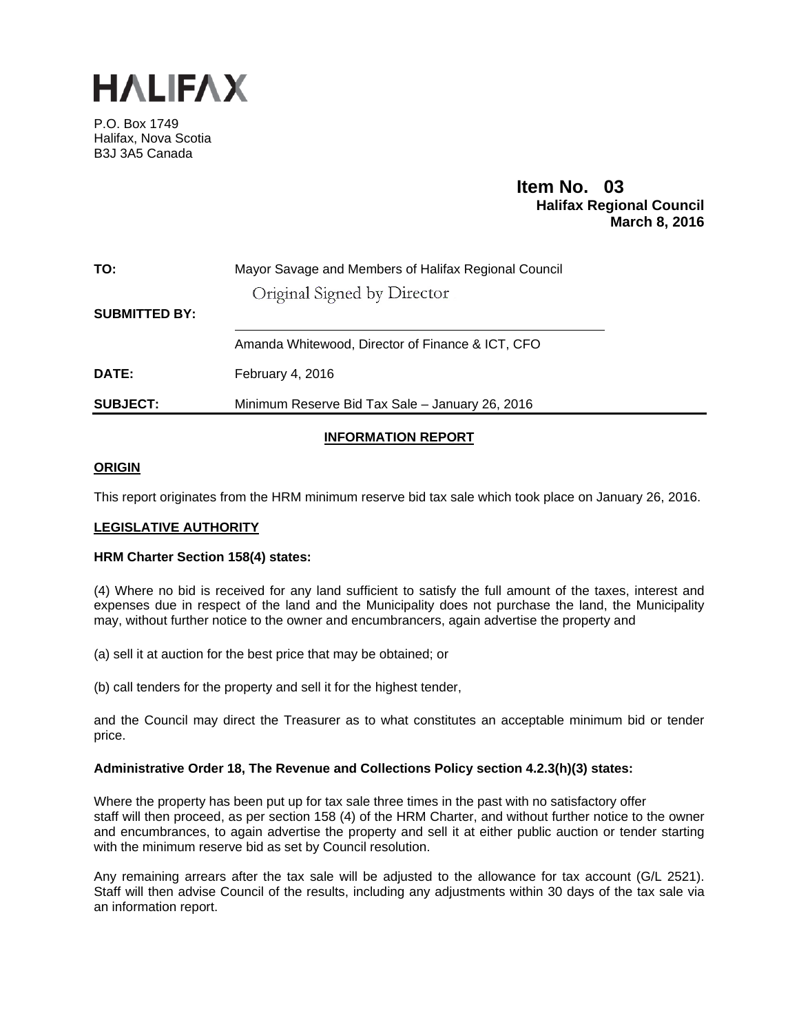

P.O. Box 1749 Halifax, Nova Scotia B3J 3A5 Canada

# **Item No. 03**<br>**Halifax Regional Council March 8, 2016**

| TO: | Mayor Savage and Members of Halifax Regional Council |
|-----|------------------------------------------------------|
|     | Original Signed by Director                          |

**SUBMITTED BY:** 

Amanda Whitewood, Director of Finance & ICT, CFO

**DATE:** February 4, 2016

**SUBJECT:** Minimum Reserve Bid Tax Sale – January 26, 2016

# **INFORMATION REPORT**

# **ORIGIN**

This report originates from the HRM minimum reserve bid tax sale which took place on January 26, 2016.

## **LEGISLATIVE AUTHORITY**

## **HRM Charter Section 158(4) states:**

(4) Where no bid is received for any land sufficient to satisfy the full amount of the taxes, interest and expenses due in respect of the land and the Municipality does not purchase the land, the Municipality may, without further notice to the owner and encumbrancers, again advertise the property and

(a) sell it at auction for the best price that may be obtained; or

(b) call tenders for the property and sell it for the highest tender,

and the Council may direct the Treasurer as to what constitutes an acceptable minimum bid or tender price.

## **Administrative Order 18, The Revenue and Collections Policy section 4.2.3(h)(3) states:**

Where the property has been put up for tax sale three times in the past with no satisfactory offer staff will then proceed, as per section 158 (4) of the HRM Charter, and without further notice to the owner and encumbrances, to again advertise the property and sell it at either public auction or tender starting with the minimum reserve bid as set by Council resolution.

Any remaining arrears after the tax sale will be adjusted to the allowance for tax account (G/L 2521). Staff will then advise Council of the results, including any adjustments within 30 days of the tax sale via an information report.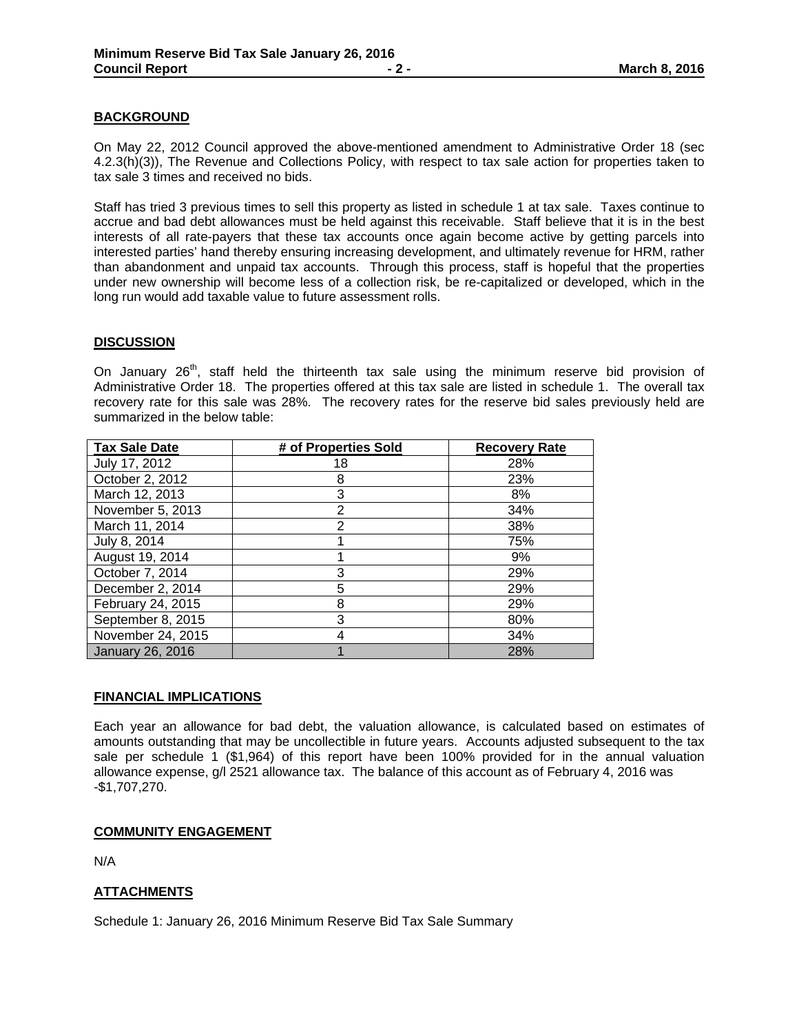## **BACKGROUND**

On May 22, 2012 Council approved the above-mentioned amendment to Administrative Order 18 (sec 4.2.3(h)(3)), The Revenue and Collections Policy, with respect to tax sale action for properties taken to tax sale 3 times and received no bids.

Staff has tried 3 previous times to sell this property as listed in schedule 1 at tax sale. Taxes continue to accrue and bad debt allowances must be held against this receivable. Staff believe that it is in the best interests of all rate-payers that these tax accounts once again become active by getting parcels into interested parties' hand thereby ensuring increasing development, and ultimately revenue for HRM, rather than abandonment and unpaid tax accounts. Through this process, staff is hopeful that the properties under new ownership will become less of a collection risk, be re-capitalized or developed, which in the long run would add taxable value to future assessment rolls.

## **DISCUSSION**

On January 26<sup>th</sup>, staff held the thirteenth tax sale using the minimum reserve bid provision of Administrative Order 18. The properties offered at this tax sale are listed in schedule 1. The overall tax recovery rate for this sale was 28%. The recovery rates for the reserve bid sales previously held are summarized in the below table:

| <b>Tax Sale Date</b>    | # of Properties Sold | <b>Recovery Rate</b> |  |  |  |  |  |
|-------------------------|----------------------|----------------------|--|--|--|--|--|
| July 17, 2012           | 18                   | 28%                  |  |  |  |  |  |
| October 2, 2012         | 8                    | 23%                  |  |  |  |  |  |
| March 12, 2013          | 3                    | 8%                   |  |  |  |  |  |
| November 5, 2013        | 2                    | 34%                  |  |  |  |  |  |
| March 11, 2014          | 2                    | 38%                  |  |  |  |  |  |
| July 8, 2014            |                      | 75%                  |  |  |  |  |  |
| August 19, 2014         |                      | 9%                   |  |  |  |  |  |
| October 7, 2014         | 3                    | 29%                  |  |  |  |  |  |
| December 2, 2014        | 5                    | 29%                  |  |  |  |  |  |
| February 24, 2015       | 8                    | 29%                  |  |  |  |  |  |
| September 8, 2015       | 3                    | 80%                  |  |  |  |  |  |
| November 24, 2015       |                      | 34%                  |  |  |  |  |  |
| <b>January 26, 2016</b> |                      | 28%                  |  |  |  |  |  |

## **FINANCIAL IMPLICATIONS**

Each year an allowance for bad debt, the valuation allowance, is calculated based on estimates of amounts outstanding that may be uncollectible in future years. Accounts adjusted subsequent to the tax sale per schedule 1 (\$1,964) of this report have been 100% provided for in the annual valuation allowance expense, g/l 2521 allowance tax. The balance of this account as of February 4, 2016 was -\$1,707,270.

## **COMMUNITY ENGAGEMENT**

N/A

## **ATTACHMENTS**

Schedule 1: January 26, 2016 Minimum Reserve Bid Tax Sale Summary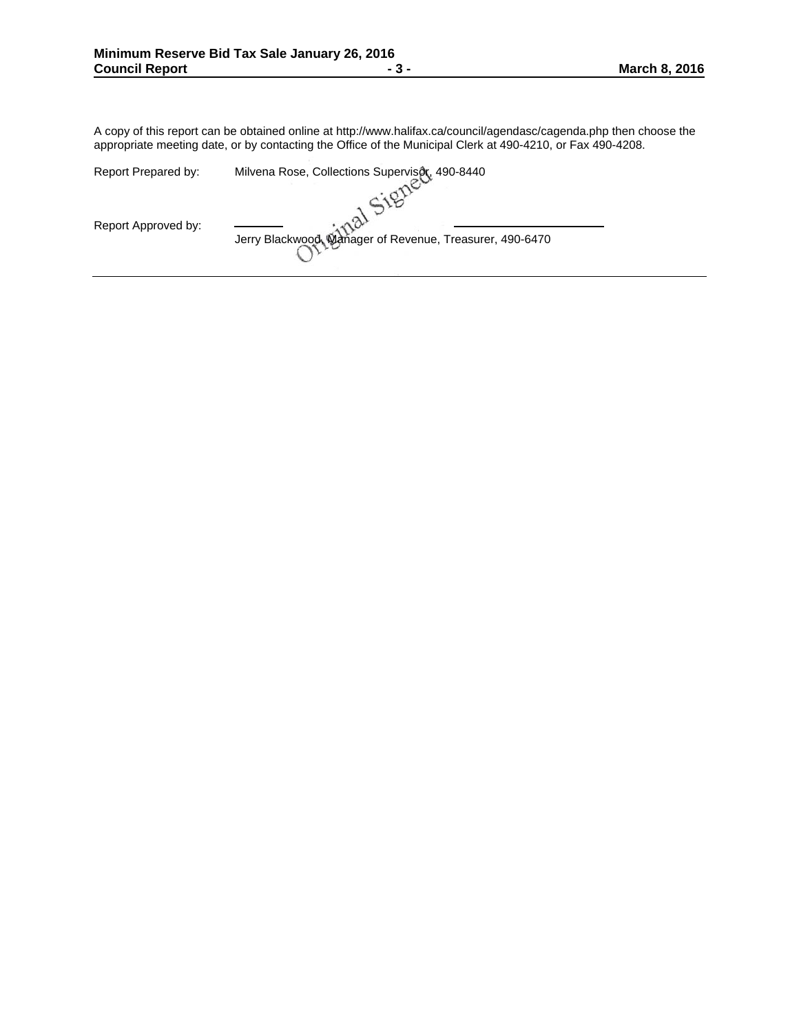A copy of this report can be obtained online at http://www.halifax.ca/council/agendasc/cagenda.php then choose the appropriate meeting date, or by contacting the Office of the Municipal Clerk at 490-4210, or Fax 490-4208.

| Report Prepared by: | Milvena Rose, Collections Supervisor, 490-8440           |
|---------------------|----------------------------------------------------------|
|                     |                                                          |
| Report Approved by: | Jerry Blackwood, Manager of Revenue, Treasurer, 490-6470 |